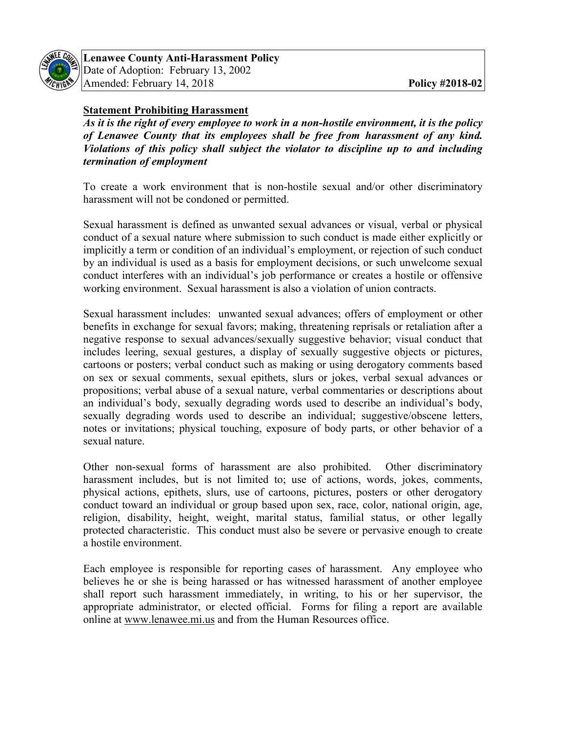

## **Statement Prohibiting Harassment**

*As it is the right of every employee to work in a non-hostile environment, it is the policy of Lenawee County that its employees shall be free from harassment of any kind. Violations of this policy shall subject the violator to discipline up to and including termination of employment* 

To create a work environment that is non-hostile sexual and/or other discriminatory harassment will not be condoned or permitted.

Sexual harassment is defined as unwanted sexual advances or visual, verbal or physical conduct of a sexual nature where submission to such conduct is made either explicitly or implicitly a term or condition of an individual's employment, or rejection of such conduct by an individual is used as a basis for employment decisions, or such unwelcome sexual conduct interferes with an individual's job performance or creates a hostile or offensive working environment. Sexual harassment is also a violation of union contracts.

Sexual harassment includes: unwanted sexual advances; offers of employment or other benefits in exchange for sexual favors; making, threatening reprisals or retaliation after a negative response to sexual advances/sexually suggestive behavior; visual conduct that includes leering, sexual gestures, a display of sexually suggestive objects or pictures, cartoons or posters; verbal conduct such as making or using derogatory comments based on sex or sexual comments, sexual epithets, slurs or jokes, verbal sexual advances or propositions; verbal abuse of a sexual nature, verbal commentaries or descriptions about an individual's body, sexually degrading words used to describe an individual's body, sexually degrading words used to describe an individual; suggestive/obscene letters, notes or invitations; physical touching, exposure of body parts, or other behavior of a sexual nature.

Other non-sexual forms of harassment are also prohibited. Other discriminatory harassment includes, but is not limited to; use of actions, words, jokes, comments, physical actions, epithets, slurs, use of cartoons, pictures, posters or other derogatory conduct toward an individual or group based upon sex, race, color, national origin, age, religion, disability, height, weight, marital status, familial status, or other legally protected characteristic. This conduct must also be severe or pervasive enough to create a hostile environment.

Each employee is responsible for reporting cases of harassment. Any employee who believes he or she is being harassed or has witnessed harassment of another employee shall report such harassment immediately, in writing, to his or her supervisor, the appropriate administrator, or elected official. Forms for filing a report are available online at www.lenawee.mi.us and from the Human Resources office.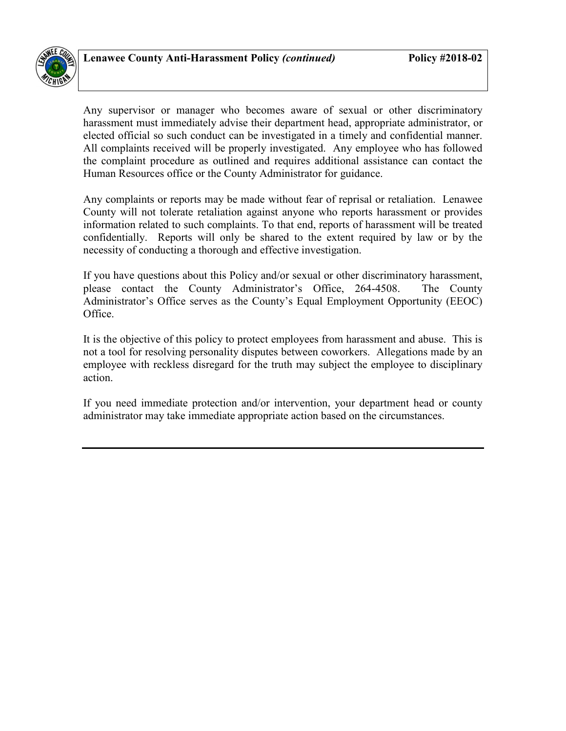

Any supervisor or manager who becomes aware of sexual or other discriminatory harassment must immediately advise their department head, appropriate administrator, or elected official so such conduct can be investigated in a timely and confidential manner. All complaints received will be properly investigated. Any employee who has followed the complaint procedure as outlined and requires additional assistance can contact the Human Resources office or the County Administrator for guidance.

Any complaints or reports may be made without fear of reprisal or retaliation. Lenawee County will not tolerate retaliation against anyone who reports harassment or provides information related to such complaints. To that end, reports of harassment will be treated confidentially. Reports will only be shared to the extent required by law or by the necessity of conducting a thorough and effective investigation.

If you have questions about this Policy and/or sexual or other discriminatory harassment, please contact the County Administrator's Office, 264-4508. The County Administrator's Office serves as the County's Equal Employment Opportunity (EEOC) Office.

It is the objective of this policy to protect employees from harassment and abuse. This is not a tool for resolving personality disputes between coworkers. Allegations made by an employee with reckless disregard for the truth may subject the employee to disciplinary action.

If you need immediate protection and/or intervention, your department head or county administrator may take immediate appropriate action based on the circumstances.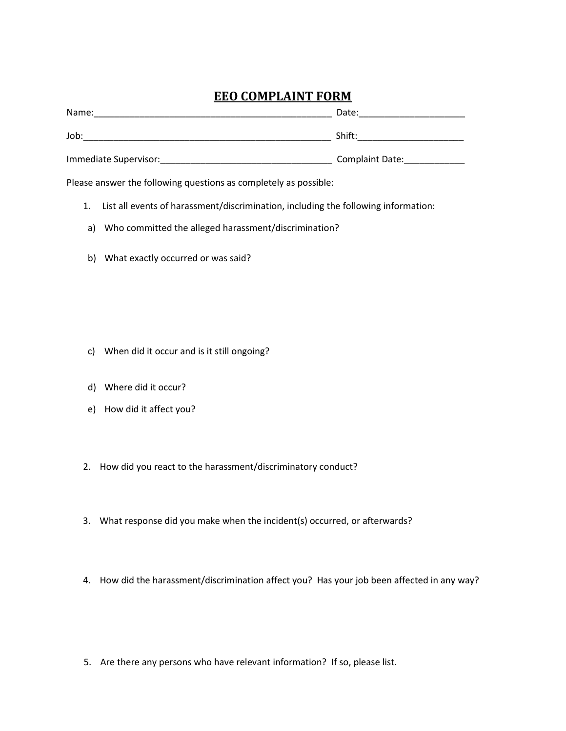## **EEO COMPLAINT FORM**

| Name:                 | Date:           |
|-----------------------|-----------------|
| Job:                  | Shift:          |
| Immediate Supervisor: | Complaint Date: |

Please answer the following questions as completely as possible:

- 1. List all events of harassment/discrimination, including the following information:
- a) Who committed the alleged harassment/discrimination?
- b) What exactly occurred or was said?

- c) When did it occur and is it still ongoing?
- d) Where did it occur?
- e) How did it affect you?
- 2. How did you react to the harassment/discriminatory conduct?
- 3. What response did you make when the incident(s) occurred, or afterwards?
- 4. How did the harassment/discrimination affect you? Has your job been affected in any way?
- 5. Are there any persons who have relevant information? If so, please list.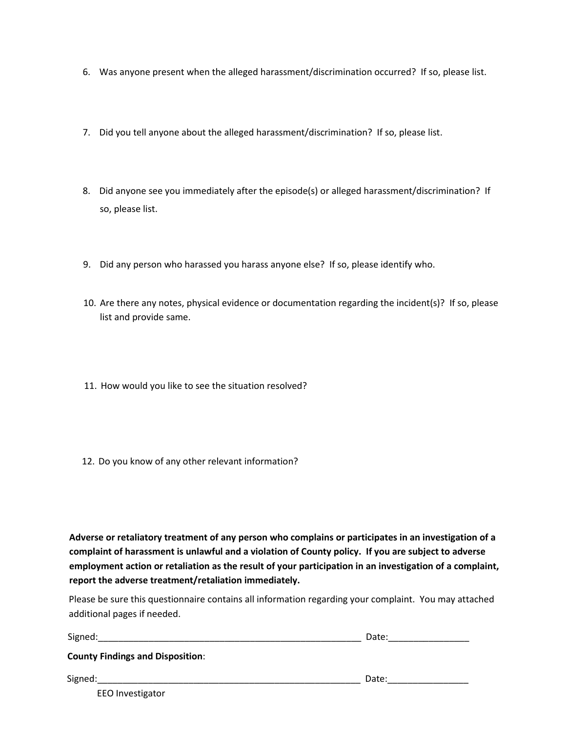- 6. Was anyone present when the alleged harassment/discrimination occurred? If so, please list.
- 7. Did you tell anyone about the alleged harassment/discrimination? If so, please list.
- 8. Did anyone see you immediately after the episode(s) or alleged harassment/discrimination? If so, please list.
- 9. Did any person who harassed you harass anyone else? If so, please identify who.
- 10. Are there any notes, physical evidence or documentation regarding the incident(s)? If so, please list and provide same.
- 11. How would you like to see the situation resolved?
- 12. Do you know of any other relevant information?

**Adverse or retaliatory treatment of any person who complains or participates in an investigation of a complaint of harassment is unlawful and a violation of County policy. If you are subject to adverse employment action or retaliation as the result of your participation in an investigation of a complaint, report the adverse treatment/retaliation immediately.**

Please be sure this questionnaire contains all information regarding your complaint. You may attached additional pages if needed.

| Signed:                                 | Date: |
|-----------------------------------------|-------|
| <b>County Findings and Disposition:</b> |       |
| Signed:                                 | Date: |
| <b>EEO</b> Investigator                 |       |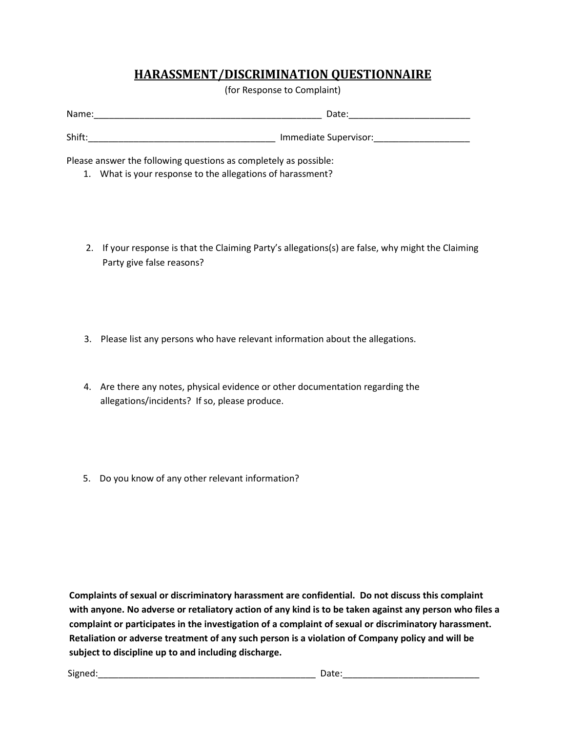## **HARASSMENT/DISCRIMINATION QUESTIONNAIRE**

(for Response to Complaint)

| Name:  | Date:                 |
|--------|-----------------------|
|        |                       |
| Shift: | Immediate Supervisor: |

Please answer the following questions as completely as possible:

- 1. What is your response to the allegations of harassment?
- 2. If your response is that the Claiming Party's allegations(s) are false, why might the Claiming Party give false reasons?
- 3. Please list any persons who have relevant information about the allegations.
- 4. Are there any notes, physical evidence or other documentation regarding the allegations/incidents? If so, please produce.
- 5. Do you know of any other relevant information?

with anyone. No adverse or retaliatory action of any kind is to be taken against any person who files a **Complaints of sexual or discriminatory harassment are confidential. Do not discuss this complaint complaint or participates in the investigation of a complaint of sexual or discriminatory harassment. Retaliation or adverse treatment of any such person is a violation of Company policy and will be subject to discipline up to and including discharge.**

Signed:\_\_\_\_\_\_\_\_\_\_\_\_\_\_\_\_\_\_\_\_\_\_\_\_\_\_\_\_\_\_\_\_\_\_\_\_\_\_\_\_\_\_\_ Date:\_\_\_\_\_\_\_\_\_\_\_\_\_\_\_\_\_\_\_\_\_\_\_\_\_\_\_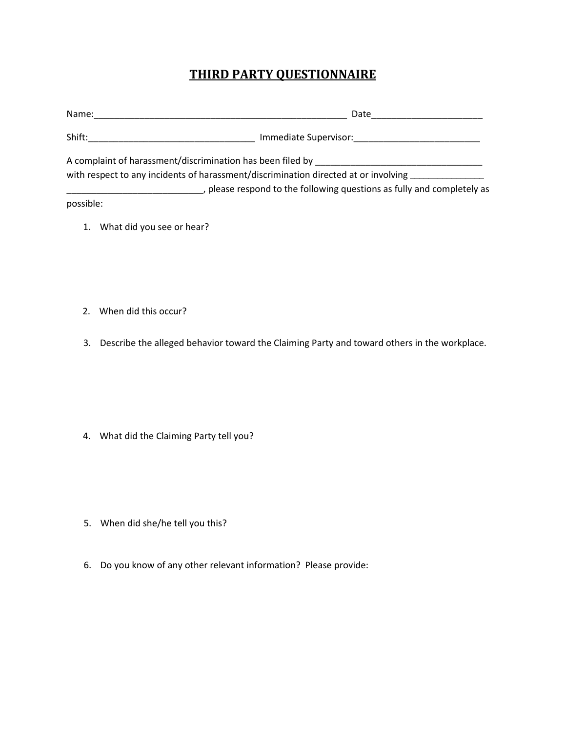## **THIRD PARTY QUESTIONNAIRE**

| Name:                                                                                        | Date                                                                                                            |
|----------------------------------------------------------------------------------------------|-----------------------------------------------------------------------------------------------------------------|
| Shift:                                                                                       | Immediate Supervisor: North States and States and States and States and States and States and States and States |
|                                                                                              | A complaint of harassment/discrimination has been filed by entirely and the matter of the state of the state of |
| with respect to any incidents of harassment/discrimination directed at or involving $\equiv$ |                                                                                                                 |
|                                                                                              | , please respond to the following questions as fully and completely as                                          |
| possible:                                                                                    |                                                                                                                 |

- 1. What did you see or hear?
- 2. When did this occur?
- 3. Describe the alleged behavior toward the Claiming Party and toward others in the workplace.

4. What did the Claiming Party tell you?

- 5. When did she/he tell you this?
- 6. Do you know of any other relevant information? Please provide: